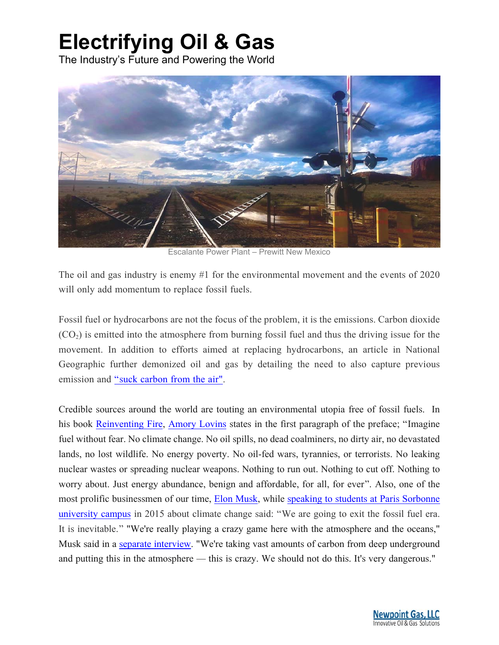# **Electrifying Oil & Gas**

The Industry's Future and Powering the World



Escalante Power Plant – Prewitt New Mexico

The oil and gas industry is enemy #1 for the environmental movement and the events of 2020 will only add momentum to replace fossil fuels.

Fossil fuel or hydrocarbons are not the focus of the problem, it is the emissions. Carbon dioxide  $(CO<sub>2</sub>)$  is emitted into the atmosphere from burning fossil fuel and thus the driving issue for the movement. In addition to efforts aimed at replacing hydrocarbons, an article in National Geographic further demonized oil and gas by detailing the need to also capture previous emission and "suck carbon from the air".

Credible sources around the world are touting an environmental utopia free of fossil fuels. In his book Reinventing Fire, Amory Lovins states in the first paragraph of the preface; "Imagine fuel without fear. No climate change. No oil spills, no dead coalminers, no dirty air, no devastated lands, no lost wildlife. No energy poverty. No oil-fed wars, tyrannies, or terrorists. No leaking nuclear wastes or spreading nuclear weapons. Nothing to run out. Nothing to cut off. Nothing to worry about. Just energy abundance, benign and affordable, for all, for ever". Also, one of the most prolific businessmen of our time, Elon Musk, while speaking to students at Paris Sorbonne university campus in 2015 about climate change said: "We are going to exit the fossil fuel era. It is inevitable." "We're really playing a crazy game here with the atmosphere and the oceans," Musk said in a separate interview. "We're taking vast amounts of carbon from deep underground and putting this in the atmosphere — this is crazy. We should not do this. It's very dangerous."

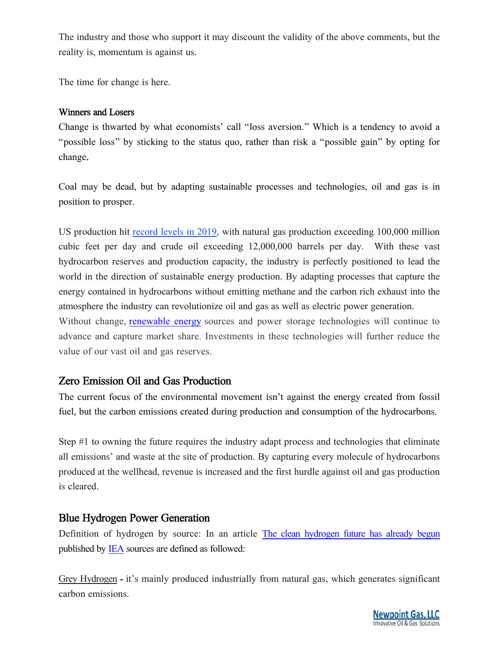The industry and those who support it may discount the validity of the above comments, but the reality is, momentum is against us.

The time for change is here.

#### Winners and Losers

Change is thwarted by what economists' call "loss aversion." Which is a tendency to avoid a "possible loss" by sticking to the status quo, rather than risk a "possible gain" by opting for change.

Coal may be dead, but by adapting sustainable processes and technologies, oil and gas is in position to prosper.

US production hit record levels in 2019, with natural gas production exceeding 100,000 million cubic feet per day and crude oil exceeding 12,000,000 barrels per day. With these vast hydrocarbon reserves and production capacity, the industry is perfectly positioned to lead the world in the direction of sustainable energy production. By adapting processes that capture the energy contained in hydrocarbons without emitting methane and the carbon rich exhaust into the atmosphere the industry can revolutionize oil and gas as well as electric power generation. Without change, renewable energy sources and power storage technologies will continue to

advance and capture market share. Investments in these technologies will further reduce the value of our vast oil and gas reserves.

#### Zero Emission Oil and Gas Production

The current focus of the environmental movement isn't against the energy created from fossil fuel, but the carbon emissions created during production and consumption of the hydrocarbons.

Step #1 to owning the future requires the industry adapt process and technologies that eliminate all emissions' and waste at the site of production. By capturing every molecule of hydrocarbons produced at the wellhead, revenue is increased and the first hurdle against oil and gas production is cleared.

#### Blue Hydrogen Power Generation

Definition of hydrogen by source: In an article The clean hydrogen future has already begun published by IEA sources are defined as followed:

Grey Hydrogen - it's mainly produced industrially from natural gas, which generates significant carbon emissions.

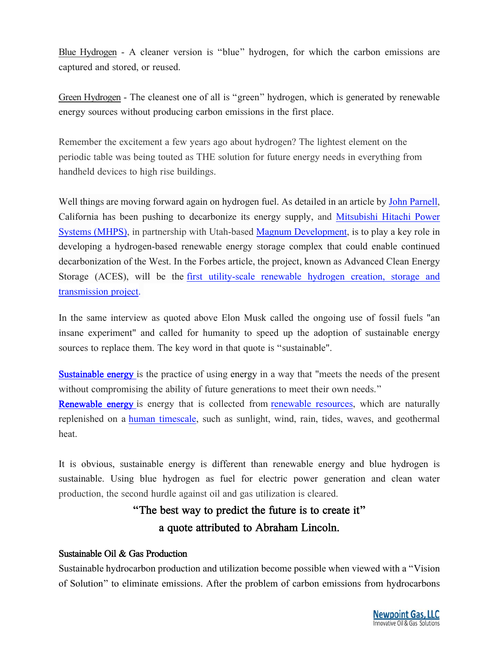Blue Hydrogen - A cleaner version is "blue" hydrogen, for which the carbon emissions are captured and stored, or reused.

Green Hydrogen - The cleanest one of all is "green" hydrogen, which is generated by renewable energy sources without producing carbon emissions in the first place.

Remember the excitement a few years ago about hydrogen? The lightest element on the periodic table was being touted as THE solution for future energy needs in everything from handheld devices to high rise buildings.

Well things are moving forward again on hydrogen fuel. As detailed in an article by John Parnell, California has been pushing to decarbonize its energy supply, and Mitsubishi Hitachi Power Systems (MHPS), in partnership with Utah-based Magnum Development, is to play a key role in developing a hydrogen-based renewable energy storage complex that could enable continued decarbonization of the West. In the Forbes article, the project, known as Advanced Clean Energy Storage (ACES), will be the first utility-scale renewable hydrogen creation, storage and transmission project.

In the same interview as quoted above Elon Musk called the ongoing use of fossil fuels "an insane experiment" and called for humanity to speed up the adoption of sustainable energy sources to replace them. The key word in that quote is "sustainable".

**Sustainable energy** is the practice of using energy in a way that "meets the needs of the present without compromising the ability of future generations to meet their own needs."

**Renewable energy** is energy that is collected from renewable resources, which are naturally replenished on a human timescale, such as sunlight, wind, rain, tides, waves, and geothermal heat.

It is obvious, sustainable energy is different than renewable energy and blue hydrogen is sustainable. Using blue hydrogen as fuel for electric power generation and clean water production, the second hurdle against oil and gas utilization is cleared.

## "The best way to predict the future is to create it" a quote attributed to Abraham Lincoln.

#### Sustainable Oil & Gas Production

Sustainable hydrocarbon production and utilization become possible when viewed with a "Vision of Solution" to eliminate emissions. After the problem of carbon emissions from hydrocarbons

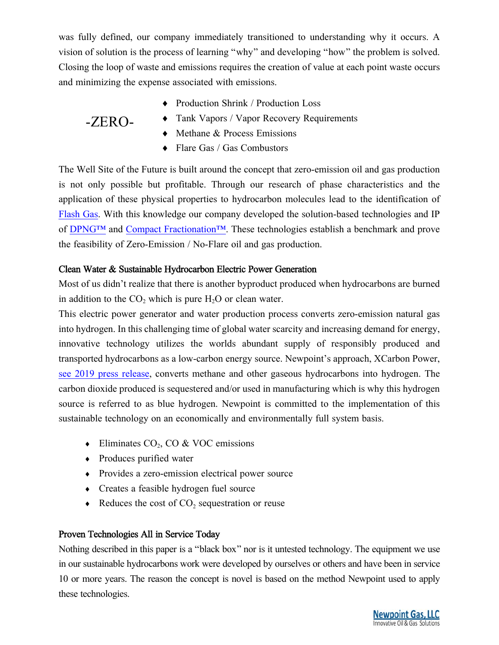was fully defined, our company immediately transitioned to understanding why it occurs. A vision of solution is the process of learning "why" and developing "how" the problem is solved. Closing the loop of waste and emissions requires the creation of value at each point waste occurs and minimizing the expense associated with emissions.

Production Shrink / Production Loss

Tank Vapors / Vapor Recovery Requirements

### -ZERO-

- Methane & Process Emissions
- ◆ Flare Gas / Gas Combustors

The Well Site of the Future is built around the concept that zero-emission oil and gas production is not only possible but profitable. Through our research of phase characteristics and the application of these physical properties to hydrocarbon molecules lead to the identification of Flash Gas. With this knowledge our company developed the solution-based technologies and IP of DPNG™ and Compact Fractionation™. These technologies establish a benchmark and prove the feasibility of Zero-Emission / No-Flare oil and gas production.

#### Clean Water & Sustainable Hydrocarbon Electric Power Generation

Most of us didn't realize that there is another byproduct produced when hydrocarbons are burned in addition to the  $CO_2$  which is pure  $H_2O$  or clean water.

This electric power generator and water production process converts zero-emission natural gas into hydrogen. In this challenging time of global water scarcity and increasing demand for energy, innovative technology utilizes the worlds abundant supply of responsibly produced and transported hydrocarbons as a low-carbon energy source. Newpoint's approach, XCarbon Power, see 2019 press release, converts methane and other gaseous hydrocarbons into hydrogen. The carbon dioxide produced is sequestered and/or used in manufacturing which is why this hydrogen source is referred to as blue hydrogen. Newpoint is committed to the implementation of this sustainable technology on an economically and environmentally full system basis.

- $\bullet$  Eliminates CO<sub>2</sub>, CO & VOC emissions
- Produces purified water
- Provides a zero-emission electrical power source
- Creates a feasible hydrogen fuel source
- $\triangleleft$  Reduces the cost of CO<sub>2</sub> sequestration or reuse

#### Proven Technologies All in Service Today

Nothing described in this paper is a "black box" nor is it untested technology. The equipment we use in our sustainable hydrocarbons work were developed by ourselves or others and have been in service 10 or more years. The reason the concept is novel is based on the method Newpoint used to apply these technologies.